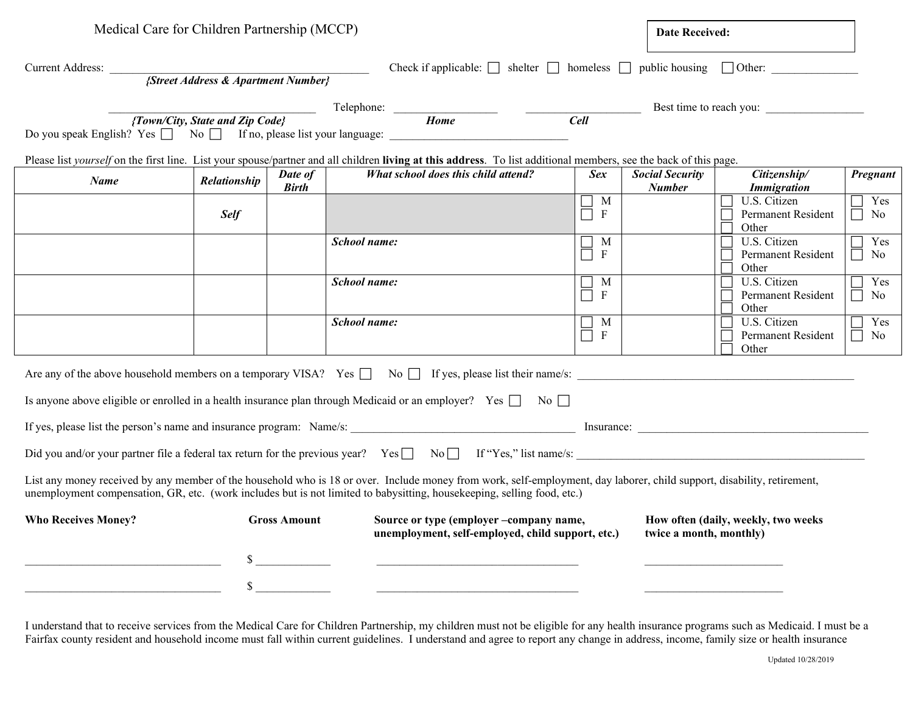| Medical Care for Children Partnership (MCCP) |                                                |                         |                                                                                                                                                                                                                                                                                                    |                                                                                              | <b>Date Received:</b>                   |                                                                |                       |  |
|----------------------------------------------|------------------------------------------------|-------------------------|----------------------------------------------------------------------------------------------------------------------------------------------------------------------------------------------------------------------------------------------------------------------------------------------------|----------------------------------------------------------------------------------------------|-----------------------------------------|----------------------------------------------------------------|-----------------------|--|
| <b>Current Address:</b>                      | <b>{Street Address &amp; Apartment Number}</b> |                         | Check if applicable: $\Box$ shelter $\Box$ homeless $\Box$ public housing $\Box$ Other:                                                                                                                                                                                                            |                                                                                              |                                         |                                                                |                       |  |
|                                              | {Town/City, State and Zip Code}                |                         | Telephone: <u>Home</u><br>Do you speak English? Yes □ No □ If no, please list your language: ________________________________                                                                                                                                                                      | $\overline{Cell}$                                                                            |                                         | Best time to reach you:                                        |                       |  |
| <b>Name</b>                                  | Relationship                                   | Date of<br><b>Birth</b> | Please list yourself on the first line. List your spouse/partner and all children living at this address. To list additional members, see the back of this page.<br>What school does this child attend?                                                                                            | <b>Sex</b>                                                                                   | <b>Social Security</b><br><b>Number</b> | Citizenship/<br><b>Immigration</b>                             | Pregnant              |  |
|                                              | <b>Self</b>                                    |                         |                                                                                                                                                                                                                                                                                                    | M<br>$\Box$<br>$\mathbf{F}$                                                                  |                                         | U.S. Citizen<br>Permanent Resident<br>Other                    | Yes<br>No             |  |
|                                              |                                                |                         | <b>School name:</b>                                                                                                                                                                                                                                                                                | $\Box$ M<br>$\Box$<br>$\mathbf F$                                                            |                                         | U.S. Citizen<br><b>Permanent Resident</b><br>Other             | Yes<br>N <sub>o</sub> |  |
|                                              |                                                |                         | <b>School name:</b>                                                                                                                                                                                                                                                                                | M<br>$\blacksquare$<br>$\Box$ F                                                              |                                         | U.S. Citizen<br><b>Permanent Resident</b><br>Other             | Yes<br>No             |  |
|                                              |                                                |                         | <b>School name:</b>                                                                                                                                                                                                                                                                                | $\Box$ M<br>$\Box$<br>$\mathbf{F}$                                                           |                                         | U.S. Citizen<br>Permanent Resident<br>Other                    | Yes<br>No             |  |
|                                              |                                                |                         | Are any of the above household members on a temporary VISA? Yes $\Box$ No $\Box$ If yes, please list their name/s:                                                                                                                                                                                 |                                                                                              |                                         |                                                                |                       |  |
|                                              |                                                |                         | Is anyone above eligible or enrolled in a health insurance plan through Medicaid or an employer? Yes $\Box$ No $\Box$                                                                                                                                                                              |                                                                                              |                                         |                                                                |                       |  |
|                                              |                                                |                         |                                                                                                                                                                                                                                                                                                    |                                                                                              |                                         |                                                                |                       |  |
|                                              |                                                |                         | Did you and/or your partner file a federal tax return for the previous year? Yes $\Box$ No $\Box$ If "Yes," list name/s:                                                                                                                                                                           |                                                                                              |                                         |                                                                |                       |  |
|                                              |                                                |                         | List any money received by any member of the household who is 18 or over. Include money from work, self-employment, day laborer, child support, disability, retirement,<br>unemployment compensation, GR, etc. (work includes but is not limited to babysitting, housekeeping, selling food, etc.) |                                                                                              |                                         |                                                                |                       |  |
| <b>Who Receives Money?</b>                   | <b>Gross Amount</b>                            |                         |                                                                                                                                                                                                                                                                                                    | Source or type (employer -company name,<br>unemployment, self-employed, child support, etc.) |                                         | How often (daily, weekly, two weeks<br>twice a month, monthly) |                       |  |
|                                              |                                                |                         |                                                                                                                                                                                                                                                                                                    |                                                                                              |                                         |                                                                |                       |  |
|                                              | \$                                             |                         |                                                                                                                                                                                                                                                                                                    |                                                                                              |                                         |                                                                |                       |  |

I understand that to receive services from the Medical Care for Children Partnership, my children must not be eligible for any health insurance programs such as Medicaid. I must be a Fairfax county resident and household income must fall within current guidelines. I understand and agree to report any change in address, income, family size or health insurance